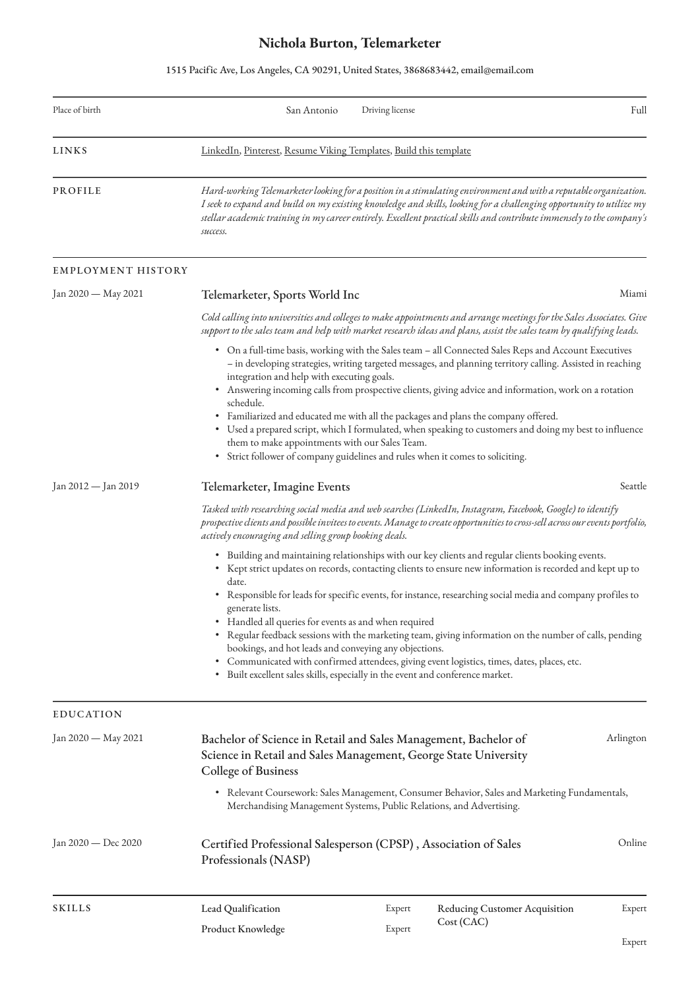## **Nichola Burton, Telemarketer**

1515 Pacific Ave, Los Angeles, CA 90291, United States, 3868683442, email@email.com

| Place of birth      | San Antonio                                                                                                                                                                                                                                                                                                                                                                                                                                                                                                                                                                                                                                                                                                                                                                | Driving license |                                      | Full   |  |  |
|---------------------|----------------------------------------------------------------------------------------------------------------------------------------------------------------------------------------------------------------------------------------------------------------------------------------------------------------------------------------------------------------------------------------------------------------------------------------------------------------------------------------------------------------------------------------------------------------------------------------------------------------------------------------------------------------------------------------------------------------------------------------------------------------------------|-----------------|--------------------------------------|--------|--|--|
| <b>LINKS</b>        | LinkedIn, Pinterest, Resume Viking Templates, Build this template                                                                                                                                                                                                                                                                                                                                                                                                                                                                                                                                                                                                                                                                                                          |                 |                                      |        |  |  |
| PROFILE             | Hard-working Telemarketer looking for a position in a stimulating environment and with a reputable organization.<br>I seek to expand and build on my existing knowledge and skills, looking for a challenging opportunity to utilize my<br>stellar academic training in my career entirely. Excellent practical skills and contribute immensely to the company's<br>success.                                                                                                                                                                                                                                                                                                                                                                                               |                 |                                      |        |  |  |
| EMPLOYMENT HISTORY  |                                                                                                                                                                                                                                                                                                                                                                                                                                                                                                                                                                                                                                                                                                                                                                            |                 |                                      |        |  |  |
| Jan 2020 — May 2021 | Miami<br>Telemarketer, Sports World Inc                                                                                                                                                                                                                                                                                                                                                                                                                                                                                                                                                                                                                                                                                                                                    |                 |                                      |        |  |  |
|                     | Cold calling into universities and colleges to make appointments and arrange meetings for the Sales Associates. Give<br>support to the sales team and help with market research ideas and plans, assist the sales team by qualifying leads.                                                                                                                                                                                                                                                                                                                                                                                                                                                                                                                                |                 |                                      |        |  |  |
|                     | • On a full-time basis, working with the Sales team – all Connected Sales Reps and Account Executives<br>- in developing strategies, writing targeted messages, and planning territory calling. Assisted in reaching<br>integration and help with executing goals.<br>• Answering incoming calls from prospective clients, giving advice and information, work on a rotation<br>schedule.<br>• Familiarized and educated me with all the packages and plans the company offered.<br>• Used a prepared script, which I formulated, when speaking to customers and doing my best to influence<br>them to make appointments with our Sales Team.<br>• Strict follower of company guidelines and rules when it comes to soliciting.                                            |                 |                                      |        |  |  |
| Jan 2012 — Jan 2019 | Seattle<br>Telemarketer, Imagine Events                                                                                                                                                                                                                                                                                                                                                                                                                                                                                                                                                                                                                                                                                                                                    |                 |                                      |        |  |  |
|                     | Tasked with researching social media and web searches (LinkedIn, Instagram, Facebook, Google) to identify<br>prospective clients and possible invitees to events. Manage to create opportunities to cross-sell across our events portfolio,<br>actively encouraging and selling group booking deals.                                                                                                                                                                                                                                                                                                                                                                                                                                                                       |                 |                                      |        |  |  |
|                     | • Building and maintaining relationships with our key clients and regular clients booking events.<br>• Kept strict updates on records, contacting clients to ensure new information is recorded and kept up to<br>date.<br>Responsible for leads for specific events, for instance, researching social media and company profiles to<br>generate lists.<br>Handled all queries for events as and when required<br>Regular feedback sessions with the marketing team, giving information on the number of calls, pending<br>bookings, and hot leads and conveying any objections.<br>Communicated with confirmed attendees, giving event logistics, times, dates, places, etc.<br>$\bullet$<br>Built excellent sales skills, especially in the event and conference market. |                 |                                      |        |  |  |
| <b>EDUCATION</b>    |                                                                                                                                                                                                                                                                                                                                                                                                                                                                                                                                                                                                                                                                                                                                                                            |                 |                                      |        |  |  |
| Jan 2020 — May 2021 | Arlington<br>Bachelor of Science in Retail and Sales Management, Bachelor of<br>Science in Retail and Sales Management, George State University<br><b>College of Business</b>                                                                                                                                                                                                                                                                                                                                                                                                                                                                                                                                                                                              |                 |                                      |        |  |  |
|                     | • Relevant Coursework: Sales Management, Consumer Behavior, Sales and Marketing Fundamentals,<br>Merchandising Management Systems, Public Relations, and Advertising.                                                                                                                                                                                                                                                                                                                                                                                                                                                                                                                                                                                                      |                 |                                      |        |  |  |
| Jan 2020 — Dec 2020 | Online<br>Certified Professional Salesperson (CPSP), Association of Sales<br>Professionals (NASP)                                                                                                                                                                                                                                                                                                                                                                                                                                                                                                                                                                                                                                                                          |                 |                                      |        |  |  |
| <b>SKILLS</b>       | Lead Qualification                                                                                                                                                                                                                                                                                                                                                                                                                                                                                                                                                                                                                                                                                                                                                         | Expert          | <b>Reducing Customer Acquisition</b> | Expert |  |  |
|                     | Product Knowledge                                                                                                                                                                                                                                                                                                                                                                                                                                                                                                                                                                                                                                                                                                                                                          | Expert          | Cost (CAC)                           |        |  |  |